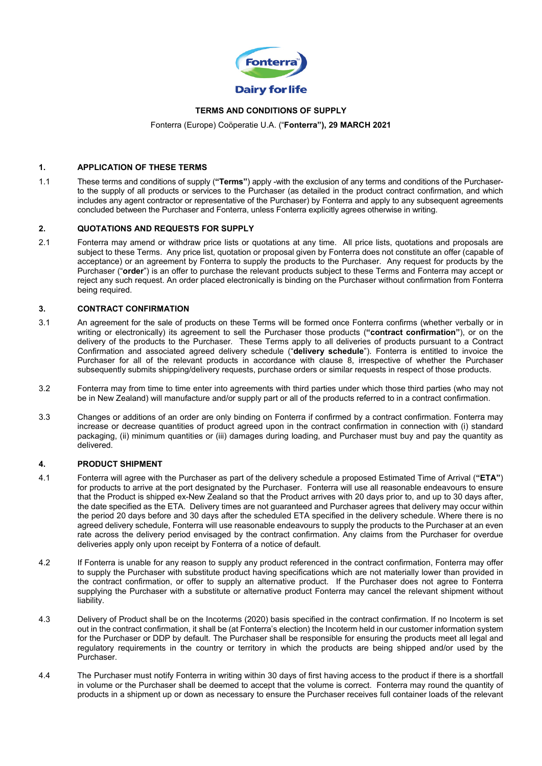

### **TERMS AND CONDITIONS OF SUPPLY**

Fonterra (Europe) Coöperatie U.A. ("**Fonterra"), 29 MARCH 2021**

### **1. APPLICATION OF THESE TERMS**

1.1 These terms and conditions of supply (**"Terms"**) apply -with the exclusion of any terms and conditions of the Purchaserto the supply of all products or services to the Purchaser (as detailed in the product contract confirmation, and which includes any agent contractor or representative of the Purchaser) by Fonterra and apply to any subsequent agreements concluded between the Purchaser and Fonterra, unless Fonterra explicitly agrees otherwise in writing.

### **2. QUOTATIONS AND REQUESTS FOR SUPPLY**

2.1 Fonterra may amend or withdraw price lists or quotations at any time. All price lists, quotations and proposals are subject to these Terms. Any price list, quotation or proposal given by Fonterra does not constitute an offer (capable of acceptance) or an agreement by Fonterra to supply the products to the Purchaser. Any request for products by the Purchaser ("**order**") is an offer to purchase the relevant products subject to these Terms and Fonterra may accept or reject any such request. An order placed electronically is binding on the Purchaser without confirmation from Fonterra being required.

#### **3. CONTRACT CONFIRMATION**

- 3.1 An agreement for the sale of products on these Terms will be formed once Fonterra confirms (whether verbally or in writing or electronically) its agreement to sell the Purchaser those products (**"contract confirmation"**), or on the delivery of the products to the Purchaser. These Terms apply to all deliveries of products pursuant to a Contract Confirmation and associated agreed delivery schedule ("**delivery schedule**"). Fonterra is entitled to invoice the Purchaser for all of the relevant products in accordance with clause 8, irrespective of whether the Purchaser subsequently submits shipping/delivery requests, purchase orders or similar requests in respect of those products.
- 3.2 Fonterra may from time to time enter into agreements with third parties under which those third parties (who may not be in New Zealand) will manufacture and/or supply part or all of the products referred to in a contract confirmation.
- 3.3 Changes or additions of an order are only binding on Fonterra if confirmed by a contract confirmation. Fonterra may increase or decrease quantities of product agreed upon in the contract confirmation in connection with (i) standard packaging, (ii) minimum quantities or (iii) damages during loading, and Purchaser must buy and pay the quantity as delivered.

#### **4. PRODUCT SHIPMENT**

- 4.1 Fonterra will agree with the Purchaser as part of the delivery schedule a proposed Estimated Time of Arrival (**"ETA"**) for products to arrive at the port designated by the Purchaser. Fonterra will use all reasonable endeavours to ensure that the Product is shipped ex-New Zealand so that the Product arrives with 20 days prior to, and up to 30 days after, the date specified as the ETA. Delivery times are not guaranteed and Purchaser agrees that delivery may occur within the period 20 days before and 30 days after the scheduled ETA specified in the delivery schedule. Where there is no agreed delivery schedule, Fonterra will use reasonable endeavours to supply the products to the Purchaser at an even rate across the delivery period envisaged by the contract confirmation. Any claims from the Purchaser for overdue deliveries apply only upon receipt by Fonterra of a notice of default.
- 4.2 If Fonterra is unable for any reason to supply any product referenced in the contract confirmation, Fonterra may offer to supply the Purchaser with substitute product having specifications which are not materially lower than provided in the contract confirmation, or offer to supply an alternative product. If the Purchaser does not agree to Fonterra supplying the Purchaser with a substitute or alternative product Fonterra may cancel the relevant shipment without liability.
- 4.3 Delivery of Product shall be on the Incoterms (2020) basis specified in the contract confirmation. If no Incoterm is set out in the contract confirmation, it shall be (at Fonterra's election) the Incoterm held in our customer information system for the Purchaser or DDP by default. The Purchaser shall be responsible for ensuring the products meet all legal and regulatory requirements in the country or territory in which the products are being shipped and/or used by the Purchaser.
- 4.4 The Purchaser must notify Fonterra in writing within 30 days of first having access to the product if there is a shortfall in volume or the Purchaser shall be deemed to accept that the volume is correct. Fonterra may round the quantity of products in a shipment up or down as necessary to ensure the Purchaser receives full container loads of the relevant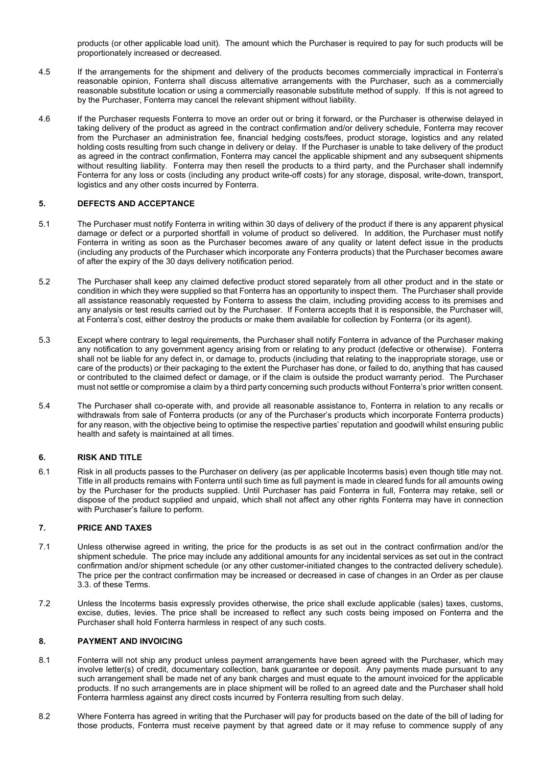products (or other applicable load unit). The amount which the Purchaser is required to pay for such products will be proportionately increased or decreased.

- If the arrangements for the shipment and delivery of the products becomes commercially impractical in Fonterra's reasonable opinion, Fonterra shall discuss alternative arrangements with the Purchaser, such as a commercially reasonable substitute location or using a commercially reasonable substitute method of supply. If this is not agreed to by the Purchaser, Fonterra may cancel the relevant shipment without liability.
- 4.6 If the Purchaser requests Fonterra to move an order out or bring it forward, or the Purchaser is otherwise delayed in taking delivery of the product as agreed in the contract confirmation and/or delivery schedule, Fonterra may recover from the Purchaser an administration fee, financial hedging costs/fees, product storage, logistics and any related holding costs resulting from such change in delivery or delay. If the Purchaser is unable to take delivery of the product as agreed in the contract confirmation, Fonterra may cancel the applicable shipment and any subsequent shipments without resulting liability. Fonterra may then resell the products to a third party, and the Purchaser shall indemnify Fonterra for any loss or costs (including any product write-off costs) for any storage, disposal, write-down, transport, logistics and any other costs incurred by Fonterra.

## **5. DEFECTS AND ACCEPTANCE**

- 5.1 The Purchaser must notify Fonterra in writing within 30 days of delivery of the product if there is any apparent physical damage or defect or a purported shortfall in volume of product so delivered. In addition, the Purchaser must notify Fonterra in writing as soon as the Purchaser becomes aware of any quality or latent defect issue in the products (including any products of the Purchaser which incorporate any Fonterra products) that the Purchaser becomes aware of after the expiry of the 30 days delivery notification period.
- 5.2 The Purchaser shall keep any claimed defective product stored separately from all other product and in the state or condition in which they were supplied so that Fonterra has an opportunity to inspect them. The Purchaser shall provide all assistance reasonably requested by Fonterra to assess the claim, including providing access to its premises and any analysis or test results carried out by the Purchaser. If Fonterra accepts that it is responsible, the Purchaser will, at Fonterra's cost, either destroy the products or make them available for collection by Fonterra (or its agent).
- 5.3 Except where contrary to legal requirements, the Purchaser shall notify Fonterra in advance of the Purchaser making any notification to any government agency arising from or relating to any product (defective or otherwise). Fonterra shall not be liable for any defect in, or damage to, products (including that relating to the inappropriate storage, use or care of the products) or their packaging to the extent the Purchaser has done, or failed to do, anything that has caused or contributed to the claimed defect or damage, or if the claim is outside the product warranty period. The Purchaser must not settle or compromise a claim by a third party concerning such products without Fonterra's prior written consent.
- 5.4 The Purchaser shall co-operate with, and provide all reasonable assistance to, Fonterra in relation to any recalls or withdrawals from sale of Fonterra products (or any of the Purchaser's products which incorporate Fonterra products) for any reason, with the objective being to optimise the respective parties' reputation and goodwill whilst ensuring public health and safety is maintained at all times.

### **6. RISK AND TITLE**

6.1 Risk in all products passes to the Purchaser on delivery (as per applicable Incoterms basis) even though title may not. Title in all products remains with Fonterra until such time as full payment is made in cleared funds for all amounts owing by the Purchaser for the products supplied. Until Purchaser has paid Fonterra in full, Fonterra may retake, sell or dispose of the product supplied and unpaid, which shall not affect any other rights Fonterra may have in connection with Purchaser's failure to perform.

### **7. PRICE AND TAXES**

- 7.1 Unless otherwise agreed in writing, the price for the products is as set out in the contract confirmation and/or the shipment schedule. The price may include any additional amounts for any incidental services as set out in the contract confirmation and/or shipment schedule (or any other customer-initiated changes to the contracted delivery schedule). The price per the contract confirmation may be increased or decreased in case of changes in an Order as per clause 3.3. of these Terms.
- 7.2 Unless the Incoterms basis expressly provides otherwise, the price shall exclude applicable (sales) taxes, customs, excise, duties, levies. The price shall be increased to reflect any such costs being imposed on Fonterra and the Purchaser shall hold Fonterra harmless in respect of any such costs.

### **8. PAYMENT AND INVOICING**

- 8.1 Fonterra will not ship any product unless payment arrangements have been agreed with the Purchaser, which may involve letter(s) of credit, documentary collection, bank guarantee or deposit. Any payments made pursuant to any such arrangement shall be made net of any bank charges and must equate to the amount invoiced for the applicable products. If no such arrangements are in place shipment will be rolled to an agreed date and the Purchaser shall hold Fonterra harmless against any direct costs incurred by Fonterra resulting from such delay.
- 8.2 Where Fonterra has agreed in writing that the Purchaser will pay for products based on the date of the bill of lading for those products, Fonterra must receive payment by that agreed date or it may refuse to commence supply of any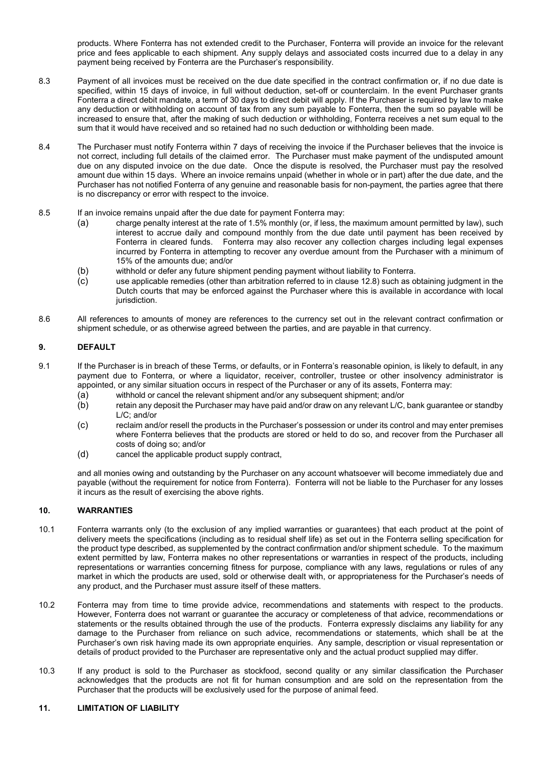products. Where Fonterra has not extended credit to the Purchaser, Fonterra will provide an invoice for the relevant price and fees applicable to each shipment. Any supply delays and associated costs incurred due to a delay in any payment being received by Fonterra are the Purchaser's responsibility.

- 8.3 Payment of all invoices must be received on the due date specified in the contract confirmation or, if no due date is specified, within 15 days of invoice, in full without deduction, set-off or counterclaim. In the event Purchaser grants Fonterra a direct debit mandate, a term of 30 days to direct debit will apply. If the Purchaser is required by law to make any deduction or withholding on account of tax from any sum payable to Fonterra, then the sum so payable will be increased to ensure that, after the making of such deduction or withholding, Fonterra receives a net sum equal to the sum that it would have received and so retained had no such deduction or withholding been made.
- 8.4 The Purchaser must notify Fonterra within 7 days of receiving the invoice if the Purchaser believes that the invoice is not correct, including full details of the claimed error. The Purchaser must make payment of the undisputed amount due on any disputed invoice on the due date. Once the dispute is resolved, the Purchaser must pay the resolved amount due within 15 days. Where an invoice remains unpaid (whether in whole or in part) after the due date, and the Purchaser has not notified Fonterra of any genuine and reasonable basis for non-payment, the parties agree that there is no discrepancy or error with respect to the invoice.
- 8.5 If an invoice remains unpaid after the due date for payment Fonterra may:<br>(a) charge penalty interest at the rate of 1.5% monthly (or, if less, th
	- charge penalty interest at the rate of 1.5% monthly (or, if less, the maximum amount permitted by law), such interest to accrue daily and compound monthly from the due date until payment has been received by Fonterra in cleared funds. Fonterra may also recover any collection charges including legal expenses incurred by Fonterra in attempting to recover any overdue amount from the Purchaser with a minimum of 15% of the amounts due; and/or
	- (b) withhold or defer any future shipment pending payment without liability to Fonterra.
	- (c) use applicable remedies (other than arbitration referred to in clause 12.8) such as obtaining judgment in the Dutch courts that may be enforced against the Purchaser where this is available in accordance with local jurisdiction.
- 8.6 All references to amounts of money are references to the currency set out in the relevant contract confirmation or shipment schedule, or as otherwise agreed between the parties, and are payable in that currency.

# **9. DEFAULT**

- 9.1 If the Purchaser is in breach of these Terms, or defaults, or in Fonterra's reasonable opinion, is likely to default, in any payment due to Fonterra, or where a liquidator, receiver, controller, trustee or other insolvency administrator is appointed, or any similar situation occurs in respect of the Purchaser or any of its assets, Fonterra may:
	- (a) withhold or cancel the relevant shipment and/or any subsequent shipment; and/or
	- (b) retain any deposit the Purchaser may have paid and/or draw on any relevant L/C, bank guarantee or standby L/C; and/or
	- (c) reclaim and/or resell the products in the Purchaser's possession or under its control and may enter premises where Fonterra believes that the products are stored or held to do so, and recover from the Purchaser all costs of doing so; and/or
	- (d) cancel the applicable product supply contract,

and all monies owing and outstanding by the Purchaser on any account whatsoever will become immediately due and payable (without the requirement for notice from Fonterra). Fonterra will not be liable to the Purchaser for any losses it incurs as the result of exercising the above rights.

## **10. WARRANTIES**

- 10.1 Fonterra warrants only (to the exclusion of any implied warranties or guarantees) that each product at the point of delivery meets the specifications (including as to residual shelf life) as set out in the Fonterra selling specification for the product type described, as supplemented by the contract confirmation and/or shipment schedule. To the maximum extent permitted by law, Fonterra makes no other representations or warranties in respect of the products, including representations or warranties concerning fitness for purpose, compliance with any laws, regulations or rules of any market in which the products are used, sold or otherwise dealt with, or appropriateness for the Purchaser's needs of any product, and the Purchaser must assure itself of these matters.
- 10.2 Fonterra may from time to time provide advice, recommendations and statements with respect to the products. However, Fonterra does not warrant or guarantee the accuracy or completeness of that advice, recommendations or statements or the results obtained through the use of the products. Fonterra expressly disclaims any liability for any damage to the Purchaser from reliance on such advice, recommendations or statements, which shall be at the Purchaser's own risk having made its own appropriate enquiries. Any sample, description or visual representation or details of product provided to the Purchaser are representative only and the actual product supplied may differ.
- 10.3 If any product is sold to the Purchaser as stockfood, second quality or any similar classification the Purchaser acknowledges that the products are not fit for human consumption and are sold on the representation from the Purchaser that the products will be exclusively used for the purpose of animal feed.

## **11. LIMITATION OF LIABILITY**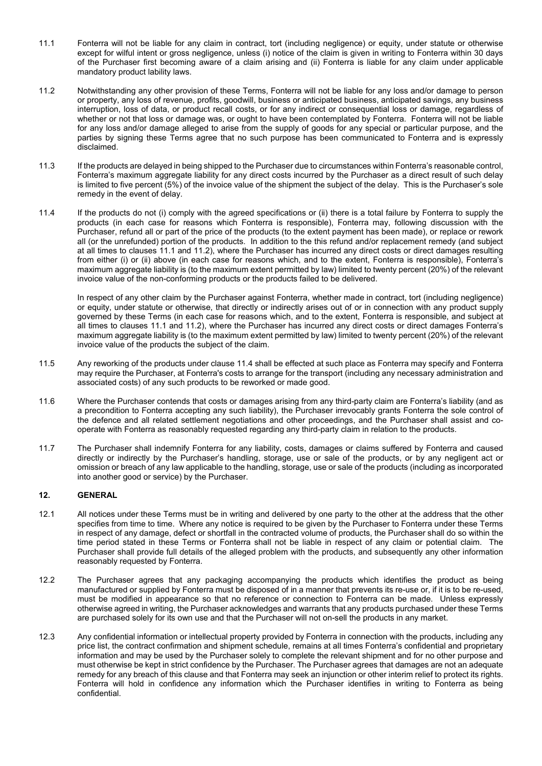- 11.1 Fonterra will not be liable for any claim in contract, tort (including negligence) or equity, under statute or otherwise except for wilful intent or gross negligence, unless (i) notice of the claim is given in writing to Fonterra within 30 days of the Purchaser first becoming aware of a claim arising and (ii) Fonterra is liable for any claim under applicable mandatory product lability laws.
- 11.2 Notwithstanding any other provision of these Terms, Fonterra will not be liable for any loss and/or damage to person or property, any loss of revenue, profits, goodwill, business or anticipated business, anticipated savings, any business interruption, loss of data, or product recall costs, or for any indirect or consequential loss or damage, regardless of whether or not that loss or damage was, or ought to have been contemplated by Fonterra. Fonterra will not be liable for any loss and/or damage alleged to arise from the supply of goods for any special or particular purpose, and the parties by signing these Terms agree that no such purpose has been communicated to Fonterra and is expressly disclaimed.
- 11.3 If the products are delayed in being shipped to the Purchaser due to circumstances within Fonterra's reasonable control, Fonterra's maximum aggregate liability for any direct costs incurred by the Purchaser as a direct result of such delay is limited to five percent (5%) of the invoice value of the shipment the subject of the delay. This is the Purchaser's sole remedy in the event of delay.
- 11.4 If the products do not (i) comply with the agreed specifications or (ii) there is a total failure by Fonterra to supply the products (in each case for reasons which Fonterra is responsible), Fonterra may, following discussion with the Purchaser, refund all or part of the price of the products (to the extent payment has been made), or replace or rework all (or the unrefunded) portion of the products. In addition to the this refund and/or replacement remedy (and subject at all times to clauses 11.1 and 11.2), where the Purchaser has incurred any direct costs or direct damages resulting from either (i) or (ii) above (in each case for reasons which, and to the extent, Fonterra is responsible), Fonterra's maximum aggregate liability is (to the maximum extent permitted by law) limited to twenty percent (20%) of the relevant invoice value of the non-conforming products or the products failed to be delivered.

<span id="page-3-0"></span>In respect of any other claim by the Purchaser against Fonterra, whether made in contract, tort (including negligence) or equity, under statute or otherwise, that directly or indirectly arises out of or in connection with any product supply governed by these Terms (in each case for reasons which, and to the extent, Fonterra is responsible, and subject at all times to clauses 11.1 and 11.2), where the Purchaser has incurred any direct costs or direct damages Fonterra's maximum aggregate liability is (to the maximum extent permitted by law) limited to twenty percent (20%) of the relevant invoice value of the products the subject of the claim.

- 11.5 Any reworking of the products under clause [11.4](#page-3-0) shall be effected at such place as Fonterra may specify and Fonterra may require the Purchaser, at Fonterra's costs to arrange for the transport (including any necessary administration and associated costs) of any such products to be reworked or made good.
- 11.6 Where the Purchaser contends that costs or damages arising from any third-party claim are Fonterra's liability (and as a precondition to Fonterra accepting any such liability), the Purchaser irrevocably grants Fonterra the sole control of the defence and all related settlement negotiations and other proceedings, and the Purchaser shall assist and cooperate with Fonterra as reasonably requested regarding any third-party claim in relation to the products.
- 11.7 The Purchaser shall indemnify Fonterra for any liability, costs, damages or claims suffered by Fonterra and caused directly or indirectly by the Purchaser's handling, storage, use or sale of the products, or by any negligent act or omission or breach of any law applicable to the handling, storage, use or sale of the products (including as incorporated into another good or service) by the Purchaser.

## **12. GENERAL**

- 12.1 All notices under these Terms must be in writing and delivered by one party to the other at the address that the other specifies from time to time. Where any notice is required to be given by the Purchaser to Fonterra under these Terms in respect of any damage, defect or shortfall in the contracted volume of products, the Purchaser shall do so within the time period stated in these Terms or Fonterra shall not be liable in respect of any claim or potential claim. The Purchaser shall provide full details of the alleged problem with the products, and subsequently any other information reasonably requested by Fonterra.
- 12.2 The Purchaser agrees that any packaging accompanying the products which identifies the product as being manufactured or supplied by Fonterra must be disposed of in a manner that prevents its re-use or, if it is to be re-used, must be modified in appearance so that no reference or connection to Fonterra can be made. Unless expressly otherwise agreed in writing, the Purchaser acknowledges and warrants that any products purchased under these Terms are purchased solely for its own use and that the Purchaser will not on-sell the products in any market.
- 12.3 Any confidential information or intellectual property provided by Fonterra in connection with the products, including any price list, the contract confirmation and shipment schedule, remains at all times Fonterra's confidential and proprietary information and may be used by the Purchaser solely to complete the relevant shipment and for no other purpose and must otherwise be kept in strict confidence by the Purchaser. The Purchaser agrees that damages are not an adequate remedy for any breach of this clause and that Fonterra may seek an injunction or other interim relief to protect its rights. Fonterra will hold in confidence any information which the Purchaser identifies in writing to Fonterra as being confidential.